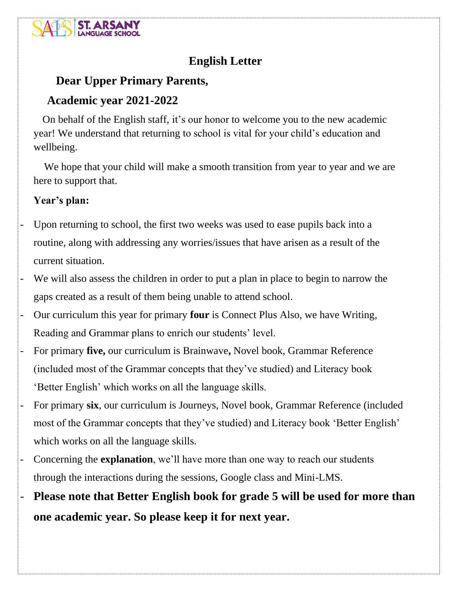

# **English Letter**

# **Dear Upper Primary Parents,**

## **Academic year 2021-2022**

 On behalf of the English staff, it's our honor to welcome you to the new academic year! We understand that returning to school is vital for your child's education and wellbeing.

 We hope that your child will make a smooth transition from year to year and we are here to support that.

## **Year's plan:**

- Upon returning to school, the first two weeks was used to ease pupils back into a routine, along with addressing any worries/issues that have arisen as a result of the current situation.
- We will also assess the children in order to put a plan in place to begin to narrow the gaps created as a result of them being unable to attend school.
- Our curriculum this year for primary **four** is Connect Plus Also, we have Writing, Reading and Grammar plans to enrich our students' level.
- For primary **five,** our curriculum is Brainwave**,** Novel book, Grammar Reference (included most of the Grammar concepts that they've studied) and Literacy book 'Better English' which works on all the language skills.
- For primary **six**, our curriculum is Journeys, Novel book, Grammar Reference (included most of the Grammar concepts that they've studied) and Literacy book 'Better English' which works on all the language skills.
- Concerning the **explanation**, we'll have more than one way to reach our students through the interactions during the sessions, Google class and Mini-LMS.
- **Please note that Better English book for grade 5 will be used for more than one academic year. So please keep it for next year.**